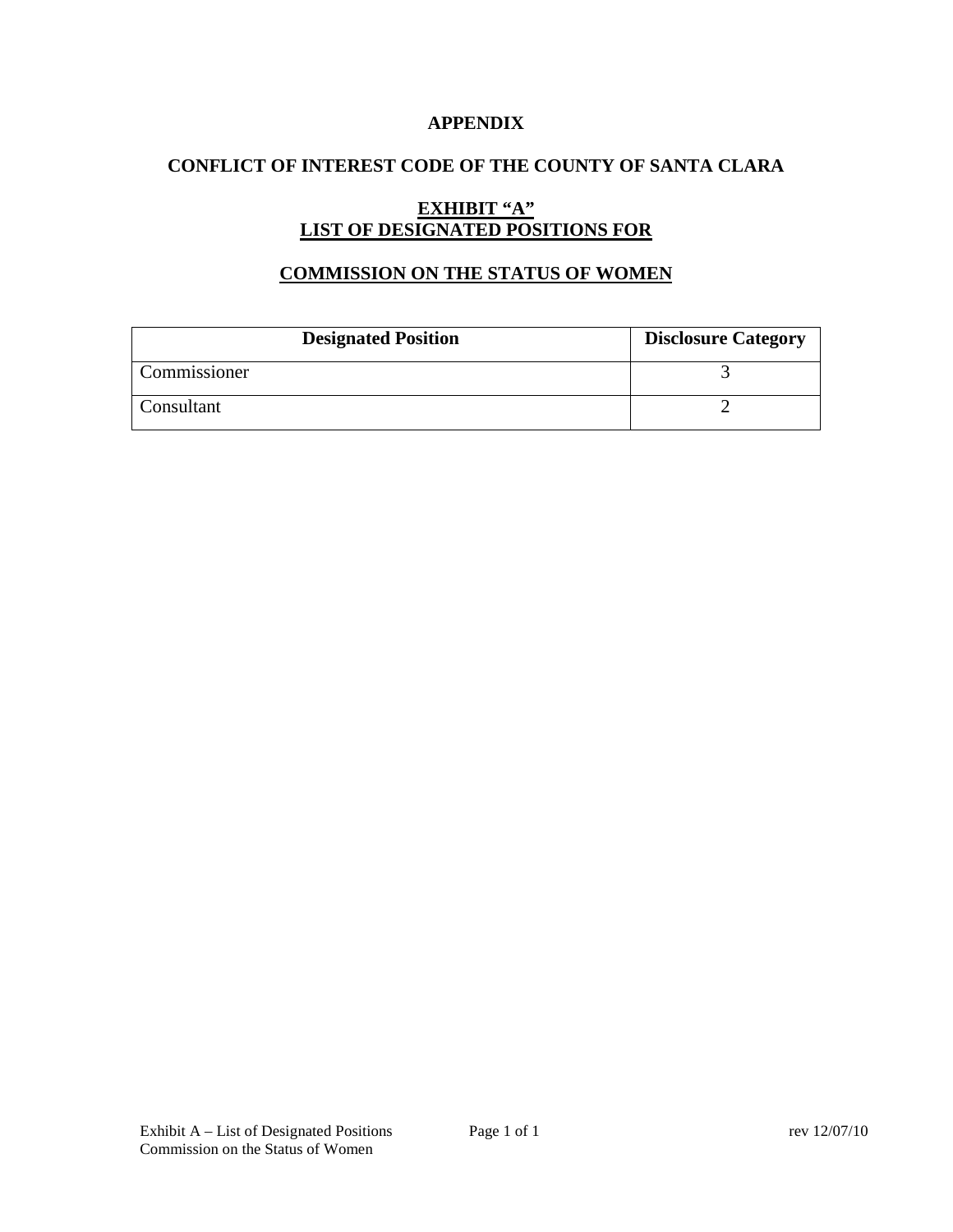### **APPENDIX**

# **CONFLICT OF INTEREST CODE OF THE COUNTY OF SANTA CLARA**

# **EXHIBIT "A" LIST OF DESIGNATED POSITIONS FOR**

### **COMMISSION ON THE STATUS OF WOMEN**

| <b>Designated Position</b> | <b>Disclosure Category</b> |
|----------------------------|----------------------------|
| Commissioner               |                            |
| Consultant                 |                            |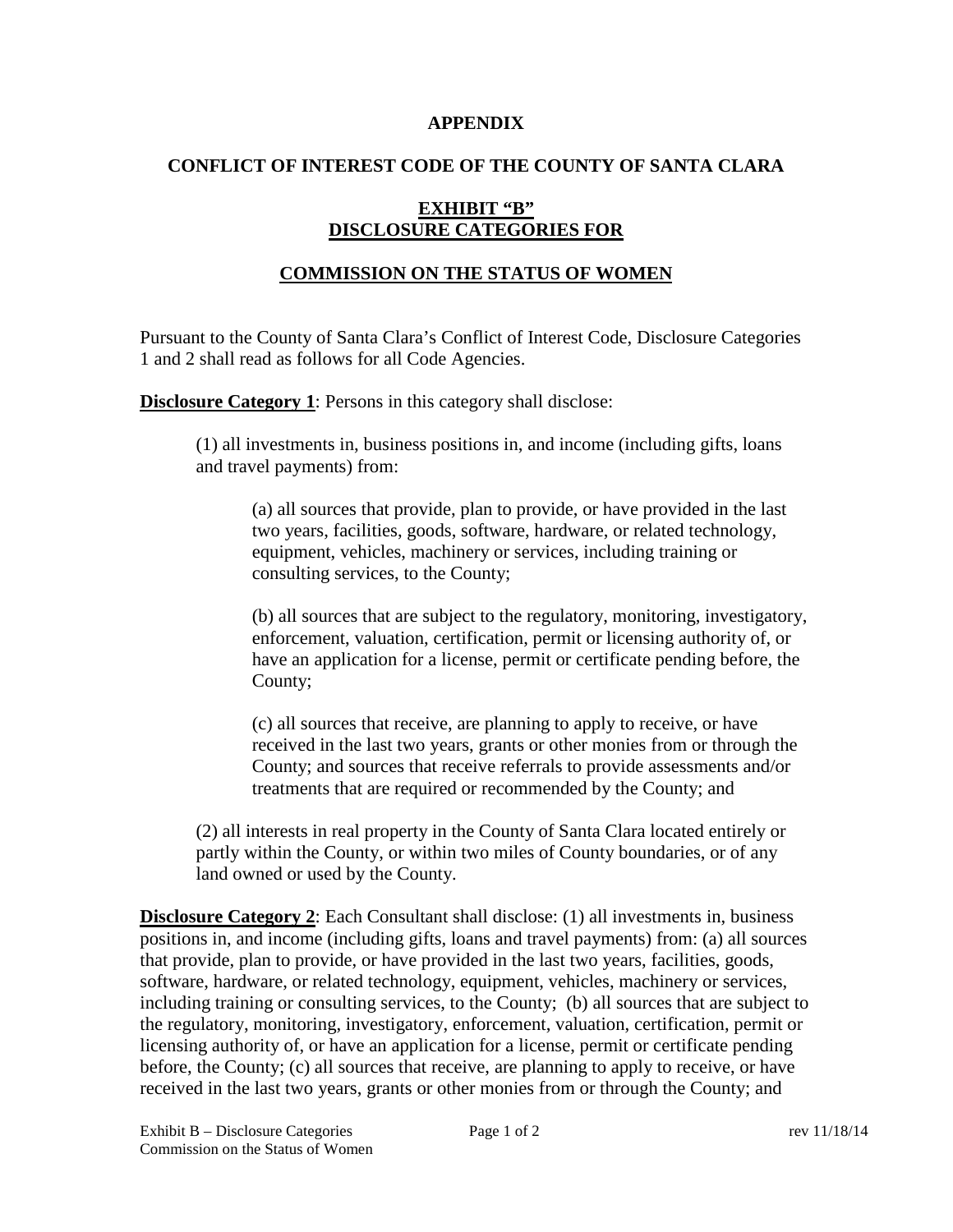#### **APPENDIX**

### **CONFLICT OF INTEREST CODE OF THE COUNTY OF SANTA CLARA**

# **EXHIBIT "B" DISCLOSURE CATEGORIES FOR**

# **COMMISSION ON THE STATUS OF WOMEN**

Pursuant to the County of Santa Clara's Conflict of Interest Code, Disclosure Categories 1 and 2 shall read as follows for all Code Agencies.

**Disclosure Category 1:** Persons in this category shall disclose:

(1) all investments in, business positions in, and income (including gifts, loans and travel payments) from:

(a) all sources that provide, plan to provide, or have provided in the last two years, facilities, goods, software, hardware, or related technology, equipment, vehicles, machinery or services, including training or consulting services, to the County;

(b) all sources that are subject to the regulatory, monitoring, investigatory, enforcement, valuation, certification, permit or licensing authority of, or have an application for a license, permit or certificate pending before, the County;

(c) all sources that receive, are planning to apply to receive, or have received in the last two years, grants or other monies from or through the County; and sources that receive referrals to provide assessments and/or treatments that are required or recommended by the County; and

(2) all interests in real property in the County of Santa Clara located entirely or partly within the County, or within two miles of County boundaries, or of any land owned or used by the County.

**Disclosure Category 2:** Each Consultant shall disclose: (1) all investments in, business positions in, and income (including gifts, loans and travel payments) from: (a) all sources that provide, plan to provide, or have provided in the last two years, facilities, goods, software, hardware, or related technology, equipment, vehicles, machinery or services, including training or consulting services, to the County; (b) all sources that are subject to the regulatory, monitoring, investigatory, enforcement, valuation, certification, permit or licensing authority of, or have an application for a license, permit or certificate pending before, the County; (c) all sources that receive, are planning to apply to receive, or have received in the last two years, grants or other monies from or through the County; and